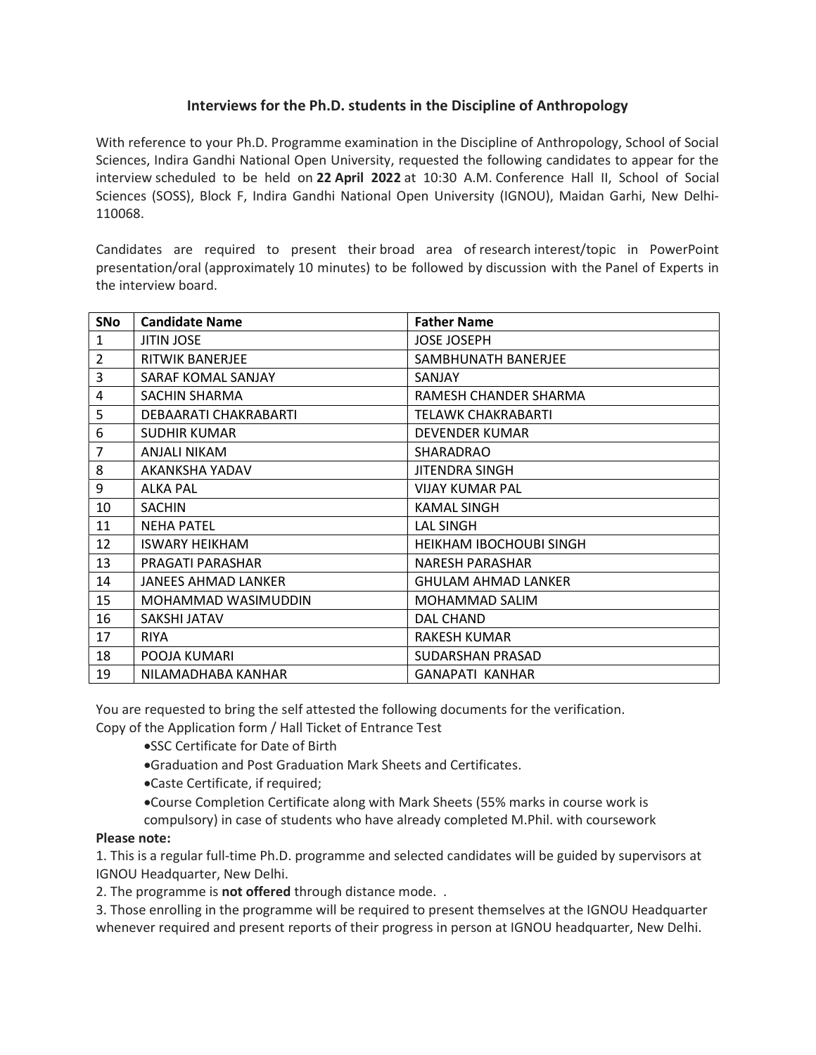## Interviews for the Ph.D. students in the Discipline of Anthropology

With reference to your Ph.D. Programme examination in the Discipline of Anthropology, School of Social Sciences, Indira Gandhi National Open University, requested the following candidates to appear for the interview scheduled to be held on 22 April 2022 at 10:30 A.M. Conference Hall II, School of Social Sciences (SOSS), Block F, Indira Gandhi National Open University (IGNOU), Maidan Garhi, New Delhi-110068.

Candidates are required to present their broad area of research interest/topic in PowerPoint presentation/oral (approximately 10 minutes) to be followed by discussion with the Panel of Experts in the interview board.

| <b>SNo</b>     | <b>Candidate Name</b>  | <b>Father Name</b>             |
|----------------|------------------------|--------------------------------|
| 1              | <b>JITIN JOSE</b>      | <b>JOSE JOSEPH</b>             |
| $\overline{2}$ | <b>RITWIK BANERJEE</b> | SAMBHUNATH BANERJEE            |
| 3              | SARAF KOMAL SANJAY     | SANJAY                         |
| $\overline{4}$ | SACHIN SHARMA          | RAMESH CHANDER SHARMA          |
| 5              | DEBAARATI CHAKRABARTI  | TELAWK CHAKRABARTI             |
| 6              | <b>SUDHIR KUMAR</b>    | DEVENDER KUMAR                 |
| $\overline{7}$ | ANJALI NIKAM           | SHARADRAO                      |
| 8              | AKANKSHA YADAV         | <b>JITENDRA SINGH</b>          |
| 9              | ALKA PAL               | <b>VIJAY KUMAR PAL</b>         |
| 10             | <b>SACHIN</b>          | KAMAL SINGH                    |
| 11             | <b>NEHA PATEL</b>      | <b>LAL SINGH</b>               |
| 12             | <b>ISWARY HEIKHAM</b>  | <b>HEIKHAM IBOCHOUBI SINGH</b> |
| 13             | PRAGATI PARASHAR       | NARESH PARASHAR                |
| 14             | JANEES AHMAD LANKER    | <b>GHULAM AHMAD LANKER</b>     |
| 15             | MOHAMMAD WASIMUDDIN    | MOHAMMAD SALIM                 |
| 16             | SAKSHI JATAV           | DAL CHAND                      |
| 17             | <b>RIYA</b>            | <b>RAKESH KUMAR</b>            |
| 18             | POOJA KUMARI           | SUDARSHAN PRASAD               |
| 19             | NILAMADHABA KANHAR     | <b>GANAPATI KANHAR</b>         |

You are requested to bring the self attested the following documents for the verification. Copy of the Application form / Hall Ticket of Entrance Test

- SSC Certificate for Date of Birth
- Graduation and Post Graduation Mark Sheets and Certificates.
- Caste Certificate, if required;
- Course Completion Certificate along with Mark Sheets (55% marks in course work is compulsory) in case of students who have already completed M.Phil. with coursework

## Please note:

1. This is a regular full-time Ph.D. programme and selected candidates will be guided by supervisors at IGNOU Headquarter, New Delhi.

2. The programme is **not offered** through distance mode. .

3. Those enrolling in the programme will be required to present themselves at the IGNOU Headquarter whenever required and present reports of their progress in person at IGNOU headquarter, New Delhi.